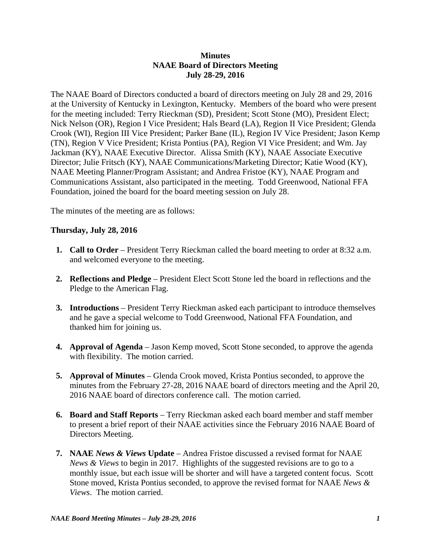#### **Minutes NAAE Board of Directors Meeting July 28-29, 2016**

The NAAE Board of Directors conducted a board of directors meeting on July 28 and 29, 2016 at the University of Kentucky in Lexington, Kentucky. Members of the board who were present for the meeting included: Terry Rieckman (SD), President; Scott Stone (MO), President Elect; Nick Nelson (OR), Region I Vice President; Hals Beard (LA), Region II Vice President; Glenda Crook (WI), Region III Vice President; Parker Bane (IL), Region IV Vice President; Jason Kemp (TN), Region V Vice President; Krista Pontius (PA), Region VI Vice President; and Wm. Jay Jackman (KY), NAAE Executive Director. Alissa Smith (KY), NAAE Associate Executive Director; Julie Fritsch (KY), NAAE Communications/Marketing Director; Katie Wood (KY), NAAE Meeting Planner/Program Assistant; and Andrea Fristoe (KY), NAAE Program and Communications Assistant, also participated in the meeting. Todd Greenwood, National FFA Foundation, joined the board for the board meeting session on July 28.

The minutes of the meeting are as follows:

#### **Thursday, July 28, 2016**

- **1. Call to Order** President Terry Rieckman called the board meeting to order at 8:32 a.m. and welcomed everyone to the meeting.
- **2. Reflections and Pledge** President Elect Scott Stone led the board in reflections and the Pledge to the American Flag.
- **3. Introductions** President Terry Rieckman asked each participant to introduce themselves and he gave a special welcome to Todd Greenwood, National FFA Foundation, and thanked him for joining us.
- **4. Approval of Agenda** Jason Kemp moved, Scott Stone seconded, to approve the agenda with flexibility. The motion carried.
- **5. Approval of Minutes**  Glenda Crook moved, Krista Pontius seconded, to approve the minutes from the February 27-28, 2016 NAAE board of directors meeting and the April 20, 2016 NAAE board of directors conference call. The motion carried.
- **6. Board and Staff Reports**  Terry Rieckman asked each board member and staff member to present a brief report of their NAAE activities since the February 2016 NAAE Board of Directors Meeting.
- **7. NAAE** *News & Views* **Update**  Andrea Fristoe discussed a revised format for NAAE *News & Views* to begin in 2017. Highlights of the suggested revisions are to go to a monthly issue, but each issue will be shorter and will have a targeted content focus. Scott Stone moved, Krista Pontius seconded, to approve the revised format for NAAE *News & Views*. The motion carried.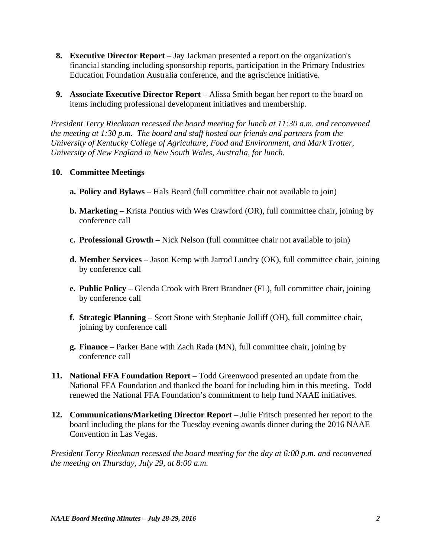- **8. Executive Director Report** Jay Jackman presented a report on the organization's financial standing including sponsorship reports, participation in the Primary Industries Education Foundation Australia conference, and the agriscience initiative.
- **9. Associate Executive Director Report** Alissa Smith began her report to the board on items including professional development initiatives and membership.

*President Terry Rieckman recessed the board meeting for lunch at 11:30 a.m. and reconvened the meeting at 1:30 p.m. The board and staff hosted our friends and partners from the University of Kentucky College of Agriculture, Food and Environment, and Mark Trotter, University of New England in New South Wales, Australia, for lunch.* 

# **10. Committee Meetings**

- **a. Policy and Bylaws** Hals Beard (full committee chair not available to join)
- **b. Marketing** Krista Pontius with Wes Crawford (OR), full committee chair, joining by conference call
- **c. Professional Growth** Nick Nelson (full committee chair not available to join)
- **d. Member Services** Jason Kemp with Jarrod Lundry (OK), full committee chair, joining by conference call
- **e. Public Policy** Glenda Crook with Brett Brandner (FL), full committee chair, joining by conference call
- **f. Strategic Planning** Scott Stone with Stephanie Jolliff (OH), full committee chair, joining by conference call
- **g. Finance** Parker Bane with Zach Rada (MN), full committee chair, joining by conference call
- **11. National FFA Foundation Report** Todd Greenwood presented an update from the National FFA Foundation and thanked the board for including him in this meeting. Todd renewed the National FFA Foundation's commitment to help fund NAAE initiatives.
- **12. Communications/Marketing Director Report** Julie Fritsch presented her report to the board including the plans for the Tuesday evening awards dinner during the 2016 NAAE Convention in Las Vegas.

*President Terry Rieckman recessed the board meeting for the day at 6:00 p.m. and reconvened the meeting on Thursday, July 29, at 8:00 a.m.*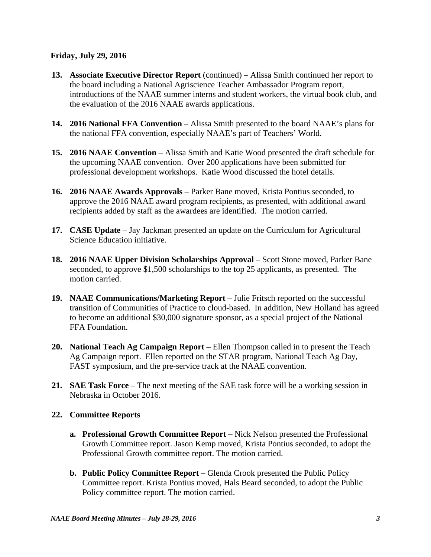### **Friday, July 29, 2016**

- **13. Associate Executive Director Report** (continued) Alissa Smith continued her report to the board including a National Agriscience Teacher Ambassador Program report, introductions of the NAAE summer interns and student workers, the virtual book club, and the evaluation of the 2016 NAAE awards applications.
- **14. 2016 National FFA Convention**  Alissa Smith presented to the board NAAE's plans for the national FFA convention, especially NAAE's part of Teachers' World.
- **15. 2016 NAAE Convention**  Alissa Smith and Katie Wood presented the draft schedule for the upcoming NAAE convention. Over 200 applications have been submitted for professional development workshops. Katie Wood discussed the hotel details.
- **16. 2016 NAAE Awards Approvals** Parker Bane moved, Krista Pontius seconded, to approve the 2016 NAAE award program recipients, as presented, with additional award recipients added by staff as the awardees are identified. The motion carried.
- **17. CASE Update** Jay Jackman presented an update on the Curriculum for Agricultural Science Education initiative.
- **18. 2016 NAAE Upper Division Scholarships Approval Scott Stone moved, Parker Bane** seconded, to approve \$1,500 scholarships to the top 25 applicants, as presented. The motion carried.
- **19. NAAE Communications/Marketing Report** Julie Fritsch reported on the successful transition of Communities of Practice to cloud-based. In addition, New Holland has agreed to become an additional \$30,000 signature sponsor, as a special project of the National FFA Foundation.
- **20. National Teach Ag Campaign Report**  Ellen Thompson called in to present the Teach Ag Campaign report. Ellen reported on the STAR program, National Teach Ag Day, FAST symposium, and the pre-service track at the NAAE convention.
- **21. SAE Task Force**  The next meeting of the SAE task force will be a working session in Nebraska in October 2016.

# **22. Committee Reports**

- **a. Professional Growth Committee Report** Nick Nelson presented the Professional Growth Committee report. Jason Kemp moved, Krista Pontius seconded, to adopt the Professional Growth committee report. The motion carried.
- **b. Public Policy Committee Report** Glenda Crook presented the Public Policy Committee report. Krista Pontius moved, Hals Beard seconded, to adopt the Public Policy committee report. The motion carried.